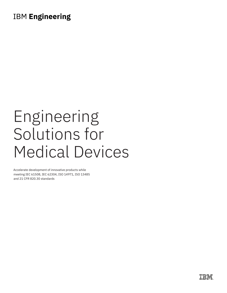# **IBM Engineering**

# Engineering Solutions for Medical Devices

Accelerate development of innovative products while meeting IEC 61508, IEC 62304, ISO 14971, ISO 13485 and 21 CFR 820.30 standards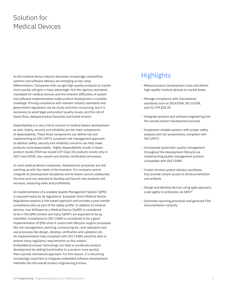# Solution for Medical Devices

As the medical device industry becomes increasingly competitive, systems and software delivery are emerging as key value differentiators. Companies that can get high-quality products to market more quickly will gain a major advantage—but the rigorous standards mandated for medical devices and the inherent difficulties of system and software implementation make product development a complex challenge. Proving compliance with relevant industry standards and government regulations can be costly and time-consuming, but it is necessary to avoid legal and product quality issues, and the risk of heavy fines, delayed product launches and brand erosion.

Dependability is a very critical concern in medical device development as well. Safety, security and reliability are the main components of dependability. These three components can define risk and implementing an ISO 14971 compliant risk management approach to address safety, security and reliability concerns can help make products more dependable. Higher dependability results in fewer product recalls (FDA has issued 137 Class III products recalls only in 2017 and 2018), less rework and shorter certification processes.

In most medical device companies, development processes are still catching up with the needs of the business. If a company cannot integrate its development disciplines and its teams cannot collaborate, the time and cost required to develop and launch new products will increase, impacting sales and profitability.

An implementation of a scalable Quality Management System (QMS) is required nearly by all regulations. European Union Medical Device Regulations expects a risk-based approach and includes a post market surveillance plan as part of the safety profile. In addition to medical devices, now Software as a Medical Device (SaMD) is considered to be in the QMS context and many SaMD's are expected to be up classified. Compliance to ISO 13485 is considered to be a good implementation of QMS since it covers both lifecycle support processes like risk management, planning, outsourcing etc, and realization and use processes like design, develop, verification and validation etc. An implementation fully compliant with ISO 13485 would be able to answer many regulatory requirements on this subject. Embedded processor technology can help to accelerate product development by adding functionality to a product more quickly than a purely mechanical approach. For this reason, it is becoming increasingly important to integrate embedded software development methods into the overall product engineering process.

## **Highlights**

- Reduce product development costs and deliver high-quality medical devices to market faster
- Manage compliance with international standards such as IEC62304, IEC 61508, and 21 CFR 820.30
- Integrate systems and software engineering into the overall product development process
- Implement reliable systems with proper safety analysis and risk assessments compliant with ISO 14971
- Incorporate systematic quality management throughout the development lifecycle via implementing quality management systems compatible with ISO 13485
- Create intuitive system delivery workflows that provide instant access to all documentation and artifacts
- Design and develop devices using agile approach, scale agility to enterprise via SAFe®
- Automate reporting processes and generate FDA documentation instantly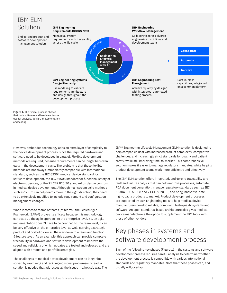

**Figure 1.** The typical process phases that both software and hardware teams use for analysis, design, implementation and testing

However, embedded technology adds an extra layer of complexity to the device development process, since the required hardware and software need to be developed in parallel. Flexible development methods are required, because requirements can no longer be frozen early in the development cycle. The problem is that these flexible methods are not always immediately compatible with international standards, such as the IEC 62304 medical device standard for software development, the IEC 61508 standard for functional safety of electronic devices, or the 21 CFR 820.30 standard on design controls in medical device development. Although mainstream agile methods such as Scrum can help teams move in the right direction, they need to be extensively modified to include requirement and configuration management changes.

When it comes to teams of teams (of teams), the Scaled Agile Framework (SAFe®) proves its efficacy because this methodology can scale up the agile approach to the enterprise level. So, an agile implementation doesn't have to be confined to the team level, it can be very effective at the enterprise level as well, carrying a strategic product and portfolio view all the way down to a team and function & feature level. As an example, this approach can provide complete traceability in hardware and software development to improve the speed and reliability of which updates are tested and released and are aligned with product and portfolio strategies.

The challenges of medical device development can no longer be solved by examining and tackling individual problems—instead, a solution is needed that addresses all the issues in a holistic way. The IBM® Engineering Lifecycle Management (ELM) solution is designed to help companies deal with increased product complexity, competitive challenges, and increasingly strict standards for quality and patient safety, while still improving time-to-market. This comprehensive solution makes it easier to manage regulatory mandates, while helping product development teams work more efficiently and effectively.

The IBM ELM solution offers integrated, end-to-end traceability and fault and failure analysis that can help improve processes, automate FDA document generation, manage regulatory standards such as IEC 62304, IEC 61508 and 21 CFR 820.30, and bring innovative, safe, high-quality products to market. Product development processes are supported by IBM Engineering tools to help medical device manufacturers develop reliable, compliant, high-quality systems and software. An open standards-based architecture also gives medical device manufacturers the option to supplement the IBM tools with those of other vendors.

## Key phases in systems and software development process

Each of the following key phases (Figure 1) in the systems and software development process requires careful analysis to determine whether the development process is compatible with various international standards and regulatory mandates. Note that these phases can, and usually will, overlap.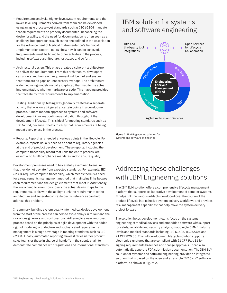- Requirements analysis. Higher-level system requirements and the lower-level requirements derived from them can be developed using an agile process—yet standards such as IEC 62304 mandate that all requirements be properly documented. Reconciling the desire for agility and the need for documentation is often seen as a challenge but approaches such as the one defined in the Association for the Advancement of Medical Instrumentation's Technical Implementation Report TIR-45 show how it can be achieved. Requirements must be linked to other activities in the process, including software architecture, test cases and so forth.
- Architectural design. This phase creates a coherent architecture to deliver the requirements. From this architecture, developers can understand how each requirement will be met and ensure that there are no gaps or unnecessary overlaps. The architecture is defined using models (usually graphical) that map to the actual implementation, whether hardware or code. This mapping provides the traceability from requirements to implementation.
- Testing. Traditionally, testing was generally treated as a separate activity that was only triggered at certain points in a development process. A more modern approach to systems and software development involves continuous validation throughout the development lifecycle. This is ideal for meeting standards such as IEC 62304, because it helps to verify that requirements are being met at every phase in the process.
- Reports. Reporting is needed at various points in the lifecycle. For example, reports usually need to be sent to regulatory agencies at the end of product development. These reports, including the complete traceability record that links the entire process, are essential to fulfill compliance mandates and to ensure quality.

Development processes need to be carefully examined to ensure that they do not deviate from expected standards. For example, IEC 62304 requires complete traceability, which means there is a need for a requirements management method that maintains links between each requirement and the design elements that meet it. Additionally, there is a need to know how closely the actual design maps to the requirements. Tools with the ability to link the requirements to the architecture and generate con-text-specific references can help address this problem.

In summary, building system quality into medical device development from the start of the process can help to avoid delays in rollout and the risk of design errors and cost overruns. Adhering to a new, improved process based on the principles of agile development with the added rigor of modeling, architecture and sophisticated requirements management is a huge advantage in meeting standards such as IEC 62304. Finally, automated reporting makes it far easier for product sales teams or those in charge of handoffs in the supply chain to demonstrate compliance with regulations and international standards.

### IBM solution for systems and software engineering



**Figure 2.** IBM Engineering solution for systems and software engineering

# Addressing these challenges with IBM Engineering solutions

The IBM ELM solution offers a comprehensive lifecycle management platform that supports collaborative development of complex systems. It helps link the various artifacts developed over the course of the product lifecycle into cohesive system delivery workflows and provides task management capabilities that help move the system delivery project forward.

The solution helps development teams focus on the systems engineering of medical devices and embedded software with support for safety, reliability and security analysis, mapping to CMMI maturity levels and medical standards including IEC 61508, IEC 62304 and 21 CFR 820.30. This full development lifecycle solution supports electronic signatures that are compliant with 21 CFR Part 11 for signing requirements baselines and change approvals. It can also automatically generate FDA sub-mission documentation. The IBM ELM solution for systems and software engineering provides an integrated solution that is based on the open and extensible IBM Jazz™ software platform, as shown in Figure 2.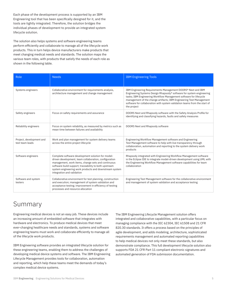Each phase of the development process is supported by an IBM Engineering tool that has been specifically designed for it, and the tools are tightly integrated. Therefore, the solution bridges the individual phases of development to provide an integrated system lifecycle solution.

The solution also helps systems and software engineering teams perform efficiently and collaborate to manage all of the lifecycle work products. This in turn helps device manufacturers make products that meet changing medical needs and standards. The solution maps the various team roles, with products that satisfy the needs of each role as shown in the following table.

| Role                                        | <b>Needs</b>                                                                                                                                                                                                                                                                                                      | <b>IBM Engineering Tools</b>                                                                                                                                                                                                                                                                                                                                                |
|---------------------------------------------|-------------------------------------------------------------------------------------------------------------------------------------------------------------------------------------------------------------------------------------------------------------------------------------------------------------------|-----------------------------------------------------------------------------------------------------------------------------------------------------------------------------------------------------------------------------------------------------------------------------------------------------------------------------------------------------------------------------|
| Systems engineers                           | Collaborative environment for requirements analysis,<br>architecture management and change management                                                                                                                                                                                                             | IBM Engineering Requirements Management DOORS® Next and IBM<br>Engineering Systems Design Rhapsody® software for system engineering<br>tasks; IBM Engineering Workflow Management software for lifecycle<br>management of the change artifacts; IBM Engineering Test Management<br>software for collaboration with system validation teams from the start of<br>the project |
| Safety engineers                            | Focus on safety requirements and assurance                                                                                                                                                                                                                                                                        | DOORS Next and Rhapsody software with the Safety Analysis Profile for<br>identifying and classifying hazards, faults and safety measures                                                                                                                                                                                                                                    |
| Reliability engineers                       | Focus on system reliability, as measured by metrics such as<br>mean time between failures and availability                                                                                                                                                                                                        | DOORS Next and Rhapsody software                                                                                                                                                                                                                                                                                                                                            |
| Project, development and<br>test team leads | Work and plan management for system delivery teams<br>across the entire project lifecycle                                                                                                                                                                                                                         | Engineering Workflow Management software and Engineering<br>Test Management software to help with live transparency through<br>collaboration, automation and reporting to the system delivery work<br>products                                                                                                                                                              |
| Software engineers                          | Complete software development solution for model-<br>driven development, team collaboration, configuration<br>management, work items, change sets and continuous<br>software build support; traceability to both upstream<br>system engineering work products and downstream system<br>integration and validation | Rhapsody integrated with Engineering Workflow Management software<br>in the Eclipse IDE to integrate model-driven development using UML with<br>the Engineering Workflow Management software capabilities for team<br>collaboration                                                                                                                                         |
| Software and system<br>testers              | Collaborative environment for test planning, construction<br>and execution; management of system validation and<br>acceptance testing; improvement in efficiency of testing<br>processes and resource allocation                                                                                                  | Engineering Test Management software for the collaborative environment<br>and management of system validation and acceptance testing                                                                                                                                                                                                                                        |

#### Summary

Engineering medical devices is not an easy job. These devices include an increasing amount of embedded software that integrates with hardware and electronics. To produce medical devices that meet ever-changing healthcare needs and standards, systems and software engineering teams must work and collaborate efficiently to manage all of the lifecycle work products.

IBM Engineering software provides an integrated lifecycle solution for these engineering teams, enabling them to address the challenges of developing medical device systems and software. The IBM Engineering Lifecycle Management provides tools for collaboration, automation and reporting, which help these teams meet the demands of today's complex medical device systems.

The IBM Engineering Lifecycle Management solution offers integrated and collaborative capabilities, with a particular focus on managing compliance with the IEC 62304, IEC 61508 and 21 CFR 820.30 standards. It offers a process based on the principles of agile development, and adds modeling, architecture, sophisticated requirements management and automated reporting capabilities to help medical devices not only meet these standards, but also demonstrate compliance. This full development lifecycle solution also supports FDA 21 CFR Part 11 compliant electronic signatures and automated generation of FDA submission documentation.